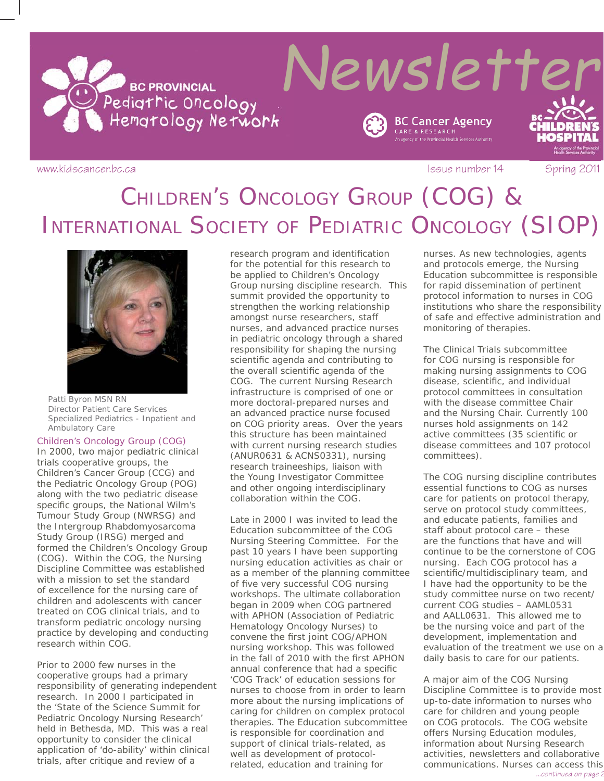

www.kidscancer.bc.ca **Issue number 14** Spring 2011

# CHILDREN'S ONCOLOGY GROUP (COG) & INTERNATIONAL SOCIETY OF PEDIATRIC ONCOLOGY (SIOP)



*Patti Byron MSN RN Director Patient Care Services Specialized Pediatrics - Inpatient and Ambulatory Care*

### Children's Oncology Group (COG)

In 2000, two major pediatric clinical trials cooperative groups, the Children's Cancer Group (CCG) and the Pediatric Oncology Group (POG) along with the two pediatric disease specific groups, the National Wilm's Tumour Study Group (NWRSG) and the Intergroup Rhabdomyosarcoma Study Group (IRSG) merged and formed the Children's Oncology Group (COG). Within the COG, the Nursing Discipline Committee was established with a mission to set the standard of excellence for the nursing care of children and adolescents with cancer treated on COG clinical trials, and to transform pediatric oncology nursing practice by developing and conducting research within COG.

Prior to 2000 few nurses in the cooperative groups had a primary responsibility of generating independent research. In 2000 I participated in the 'State of the Science Summit for Pediatric Oncology Nursing Research' held in Bethesda, MD. This was a real opportunity to consider the clinical application of 'do-ability' within clinical trials, after critique and review of a

research program and identification for the potential for this research to be applied to Children's Oncology Group nursing discipline research. This summit provided the opportunity to strengthen the working relationship amongst nurse researchers, staff nurses, and advanced practice nurses in pediatric oncology through a shared responsibility for shaping the nursing scientific agenda and contributing to the overall scientific agenda of the COG. The current Nursing Research infrastructure is comprised of one or more doctoral-prepared nurses and an advanced practice nurse focused on COG priority areas. Over the years this structure has been maintained with current nursing research studies (ANUR0631 & ACNS0331), nursing research traineeships, liaison with the Young Investigator Committee and other ongoing interdisciplinary collaboration within the COG.

Late in 2000 I was invited to lead the Education subcommittee of the COG Nursing Steering Committee. For the past 10 years I have been supporting nursing education activities as chair or as a member of the planning committee of five very successful COG nursing workshops. The ultimate collaboration began in 2009 when COG partnered with APHON (Association of Pediatric Hematology Oncology Nurses) to convene the first joint COG/APHON nursing workshop. This was followed in the fall of 2010 with the first APHON annual conference that had a specific 'COG Track' of education sessions for nurses to choose from in order to learn more about the nursing implications of caring for children on complex protocol therapies. The Education subcommittee is responsible for coordination and support of clinical trials-related, as well as development of protocolrelated, education and training for

nurses. As new technologies, agents and protocols emerge, the Nursing Education subcommittee is responsible for rapid dissemination of pertinent protocol information to nurses in COG institutions who share the responsibility of safe and effective administration and monitoring of therapies.

The Clinical Trials subcommittee for COG nursing is responsible for making nursing assignments to COG disease, scientific, and individual protocol committees in consultation with the disease committee Chair and the Nursing Chair. Currently 100 nurses hold assignments on 142 active committees (35 scientific or disease committees and 107 protocol committees).

The COG nursing discipline contributes essential functions to COG as nurses care for patients on protocol therapy, serve on protocol study committees, and educate patients, families and staff about protocol care – these are the functions that have and will continue to be the cornerstone of COG nursing. Each COG protocol has a scientific/multidisciplinary team, and I have had the opportunity to be the study committee nurse on two recent/ current COG studies – AAML0531 and AALL0631. This allowed me to be the nursing voice and part of the development, implementation and evaluation of the treatment we use on a daily basis to care for our patients.

A major aim of the COG Nursing Discipline Committee is to provide most up-to-date information to nurses who care for children and young people on COG protocols. The COG website offers Nursing Education modules, information about Nursing Research activities, newsletters and collaborative communications. Nurses can access this *...continued on page 2*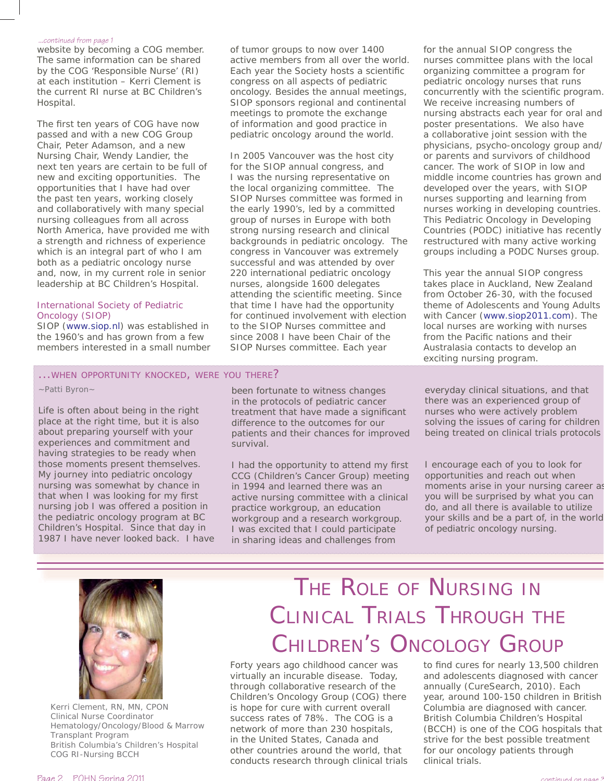#### *...continued from page 1*

website by becoming a COG member. The same information can be shared by the COG 'Responsible Nurse' (RI) at each institution – Kerri Clement is the current RI nurse at BC Children's Hospital.

The first ten years of COG have now passed and with a new COG Group Chair, Peter Adamson, and a new Nursing Chair, Wendy Landier, the next ten years are certain to be full of new and exciting opportunities. The opportunities that I have had over the past ten years, working closely and collaboratively with many special nursing colleagues from all across North America, have provided me with a strength and richness of experience which is an integral part of who I am both as a pediatric oncology nurse and, now, in my current role in senior leadership at BC Children's Hospital.

### International Society of Pediatric Oncology (SIOP)

SIOP (www.siop.nl) was established in the 1960's and has grown from a few members interested in a small number

### ...WHEN OPPORTUNITY KNOCKED, WERE YOU THERE?

*~Patti Byron~*

Life is often about being in the right place at the right time, but it is also about preparing yourself with your experiences and commitment and having strategies to be ready when those moments present themselves. My journey into pediatric oncology nursing was somewhat by chance in that when I was looking for my first nursing job I was offered a position in the pediatric oncology program at BC Children's Hospital. Since that day in 1987 I have never looked back. I have of tumor groups to now over 1400 active members from all over the world. Each year the Society hosts a scientific congress on all aspects of pediatric oncology. Besides the annual meetings, SIOP sponsors regional and continental meetings to promote the exchange of information and good practice in pediatric oncology around the world.

In 2005 Vancouver was the host city for the SIOP annual congress, and I was the nursing representative on the local organizing committee. The SIOP Nurses committee was formed in the early 1990's, led by a committed group of nurses in Europe with both strong nursing research and clinical backgrounds in pediatric oncology. The congress in Vancouver was extremely successful and was attended by over 220 international pediatric oncology nurses, alongside 1600 delegates attending the scientific meeting. Since that time I have had the opportunity for continued involvement with election to the SIOP Nurses committee and since 2008 I have been Chair of the SIOP Nurses committee. Each year

been fortunate to witness changes in the protocols of pediatric cancer treatment that have made a significant difference to the outcomes for our patients and their chances for improved survival.

I had the opportunity to attend my first CCG (Children's Cancer Group) meeting in 1994 and learned there was an active nursing committee with a clinical practice workgroup, an education workgroup and a research workgroup. I was excited that I could participate in sharing ideas and challenges from

for the annual SIOP congress the nurses committee plans with the local organizing committee a program for pediatric oncology nurses that runs concurrently with the scientific program. We receive increasing numbers of nursing abstracts each year for oral and poster presentations. We also have a collaborative joint session with the physicians, psycho-oncology group and/ or parents and survivors of childhood cancer. The work of SIOP in low and middle income countries has grown and developed over the years, with SIOP nurses supporting and learning from nurses working in developing countries. This Pediatric Oncology in Developing Countries (PODC) initiative has recently restructured with many active working groups including a PODC Nurses group.

This year the annual SIOP congress takes place in Auckland, New Zealand from October 26-30, with the focused theme of Adolescents and Young Adults with Cancer (www.siop2011.com). The local nurses are working with nurses from the Pacific nations and their Australasia contacts to develop an exciting nursing program.

everyday clinical situations, and that there was an experienced group of nurses who were actively problem solving the issues of caring for children being treated on clinical trials protocols

I encourage each of you to look for opportunities and reach out when moments arise in your nursing career as you will be surprised by what you can do, and all there is available to utilize your skills and be a part of, in the world of pediatric oncology nursing.



*Kerri Clement, RN, MN, CPON Clinical Nurse Coordinator Hematology/Oncology/Blood & Marrow Transplant Program British Columbia's Children's Hospital COG RI-Nursing BCCH*

# THE ROLE OF NURSING IN CLINICAL TRIALS THROUGH THE CHILDREN'S ONCOLOGY GROUP

Forty years ago childhood cancer was virtually an incurable disease. Today, through collaborative research of the Children's Oncology Group (COG) there is hope for cure with current overall success rates of 78%. The COG is a network of more than 230 hospitals, in the United States, Canada and other countries around the world, that conducts research through clinical trials to find cures for nearly 13,500 children and adolescents diagnosed with cancer annually (CureSearch, 2010). Each year, around 100-150 children in British Columbia are diagnosed with cancer. British Columbia Children's Hospital (BCCH) is one of the COG hospitals that strive for the best possible treatment for our oncology patients through clinical trials.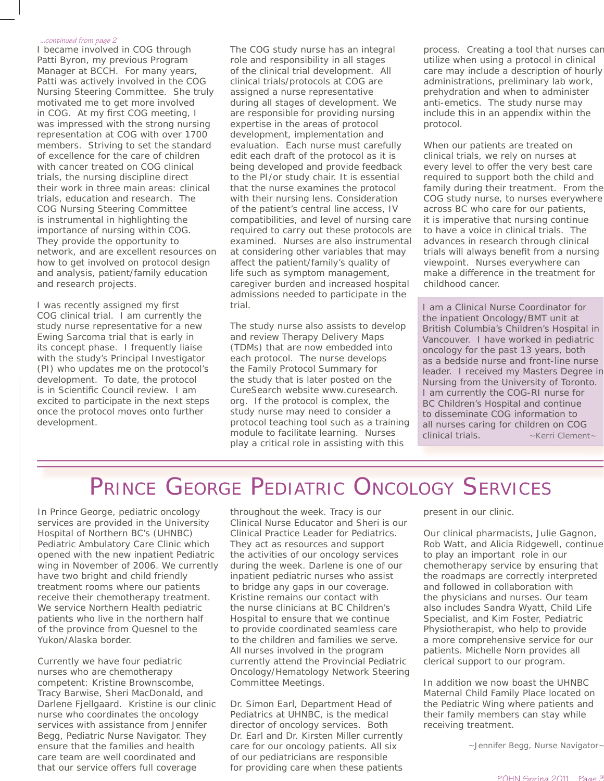#### *...continued from page 2*

I became involved in COG through Patti Byron, my previous Program Manager at BCCH. For many years, Patti was actively involved in the COG Nursing Steering Committee. She truly motivated me to get more involved in COG. At my first COG meeting, I was impressed with the strong nursing representation at COG with over 1700 members. Striving to set the standard of excellence for the care of children with cancer treated on COG clinical trials, the nursing discipline direct their work in three main areas: clinical trials, education and research. The COG Nursing Steering Committee is instrumental in highlighting the importance of nursing within COG. They provide the opportunity to network, and are excellent resources on how to get involved on protocol design and analysis, patient/family education and research projects.

I was recently assigned my first COG clinical trial. I am currently the study nurse representative for a new Ewing Sarcoma trial that is early in its concept phase. I frequently liaise with the study's Principal Investigator (PI) who updates me on the protocol's development. To date, the protocol is in Scientific Council review. I am excited to participate in the next steps once the protocol moves onto further development.

The COG study nurse has an integral role and responsibility in all stages of the clinical trial development. All clinical trials/protocols at COG are assigned a nurse representative during all stages of development. We are responsible for providing nursing expertise in the areas of protocol development, implementation and evaluation. Each nurse must carefully edit each draft of the protocol as it is being developed and provide feedback to the PI/or study chair. It is essential that the nurse examines the protocol with their nursing lens. Consideration of the patient's central line access, IV compatibilities, and level of nursing care required to carry out these protocols are examined. Nurses are also instrumental at considering other variables that may affect the patient/family's quality of life such as symptom management, caregiver burden and increased hospital admissions needed to participate in the trial.

The study nurse also assists to develop and review Therapy Delivery Maps (TDMs) that are now embedded into each protocol. The nurse develops the Family Protocol Summary for the study that is later posted on the CureSearch website www.curesearch. org. If the protocol is complex, the study nurse may need to consider a protocol teaching tool such as a training module to facilitate learning. Nurses play a critical role in assisting with this

process. Creating a tool that nurses can utilize when using a protocol in clinical care may include a description of hourly administrations, preliminary lab work, prehydration and when to administer anti-emetics. The study nurse may include this in an appendix within the protocol.

When our patients are treated on clinical trials, we rely on nurses at every level to offer the very best care required to support both the child and family during their treatment. From the COG study nurse, to nurses everywhere across BC who care for our patients, it is imperative that nursing continue to have a voice in clinical trials. The advances in research through clinical trials will always benefit from a nursing viewpoint. Nurses everywhere can make a difference in the treatment for childhood cancer.

I am a Clinical Nurse Coordinator for the inpatient Oncology/BMT unit at British Columbia's Children's Hospital in Vancouver. I have worked in pediatric oncology for the past 13 years, both as a bedside nurse and front-line nurse leader. I received my Masters Degree in Nursing from the University of Toronto. I am currently the COG-RI nurse for BC Children's Hospital and continue to disseminate COG information to all nurses caring for children on COG clinical trials. *~Kerri Clement~*

## PRINCE GEORGE PEDIATRIC ONCOLOGY SERVICES

In Prince George, pediatric oncology services are provided in the University Hospital of Northern BC's (UHNBC) Pediatric Ambulatory Care Clinic which opened with the new inpatient Pediatric wing in November of 2006. We currently have two bright and child friendly treatment rooms where our patients receive their chemotherapy treatment. We service Northern Health pediatric patients who live in the northern half of the province from Quesnel to the Yukon/Alaska border.

Currently we have four pediatric nurses who are chemotherapy competent: Kristine Brownscombe, Tracy Barwise, Sheri MacDonald, and Darlene Fjellgaard. Kristine is our clinic nurse who coordinates the oncology services with assistance from Jennifer Begg, Pediatric Nurse Navigator. They ensure that the families and health care team are well coordinated and that our service offers full coverage

throughout the week. Tracy is our Clinical Nurse Educator and Sheri is our Clinical Practice Leader for Pediatrics. They act as resources and support the activities of our oncology services during the week. Darlene is one of our inpatient pediatric nurses who assist to bridge any gaps in our coverage. Kristine remains our contact with the nurse clinicians at BC Children's Hospital to ensure that we continue to provide coordinated seamless care to the children and families we serve. All nurses involved in the program currently attend the Provincial Pediatric Oncology/Hematology Network Steering Committee Meetings.

Dr. Simon Earl, Department Head of Pediatrics at UHNBC, is the medical director of oncology services. Both Dr. Earl and Dr. Kirsten Miller currently care for our oncology patients. All six of our pediatricians are responsible for providing care when these patients

present in our clinic.

Our clinical pharmacists, Julie Gagnon, Rob Watt, and Alicia Ridgewell, continue to play an important role in our chemotherapy service by ensuring that the roadmaps are correctly interpreted and followed in collaboration with the physicians and nurses. Our team also includes Sandra Wyatt, Child Life Specialist, and Kim Foster, Pediatric Physiotherapist, who help to provide a more comprehensive service for our patients. Michelle Norn provides all clerical support to our program.

In addition we now boast the UHNBC Maternal Child Family Place located on the Pediatric Wing where patients and their family members can stay while receiving treatment.

*~Jennifer Begg, Nurse Navigator~*